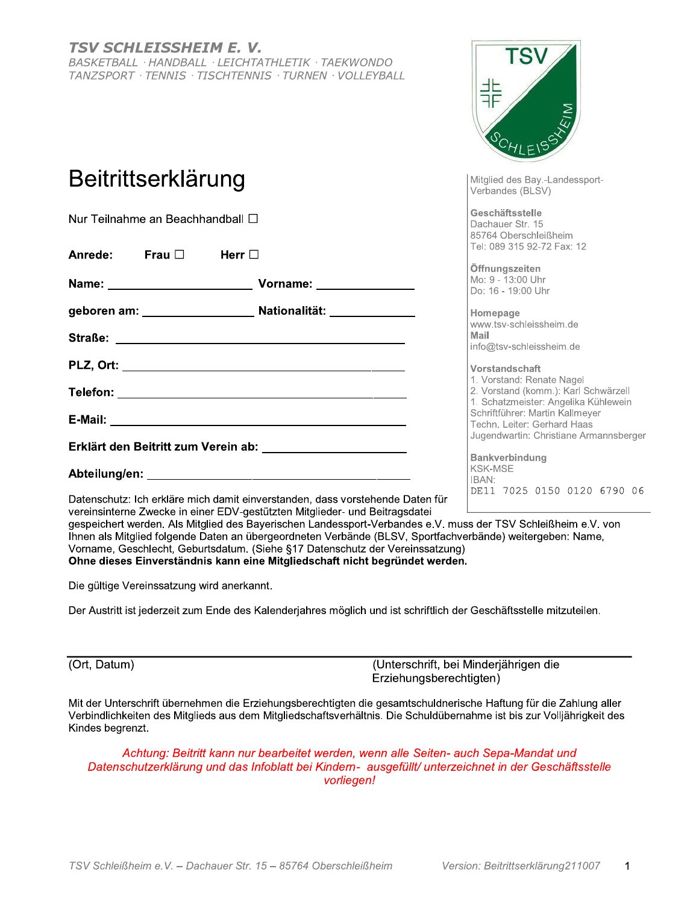#### **TSV SCHLEISSHEIM E. V.** BASKETBALL · HANDBALL · LEICHTATHLETIK · TAEKWONDO TANZSPORT · TENNIS · TISCHTENNIS · TURNEN · VOLLEYBALL

# Beitrittserklärung

Nur Teilnahme an Beachhandball □

| Anrede: Frau $\square$ Herr $\square$                                    |                                                                                                                | Tel: 089 310 92-72 Fax: 12                                                                               |
|--------------------------------------------------------------------------|----------------------------------------------------------------------------------------------------------------|----------------------------------------------------------------------------------------------------------|
| Name: ________________________                                           | Vorname: ______________                                                                                        | Öffnungszeiten<br>Mo: 9 - 13:00 Uhr<br>Do: 16 - 19:00 Uhr                                                |
|                                                                          |                                                                                                                | Homepage<br>www.tsv-schleissheim.de                                                                      |
|                                                                          |                                                                                                                | Mail<br>info@tsv-schleissheim.de                                                                         |
|                                                                          |                                                                                                                | Vorstandschaft<br>1. Vorstand: Renate Nagel                                                              |
|                                                                          |                                                                                                                | 2. Vorstand (komm.): Karl Schwärzell<br>1. Schatzmeister: Angelika Kühlewein                             |
|                                                                          |                                                                                                                | Schriftführer: Martin Kallmeyer<br>Techn. Leiter: Gerhard Haas<br>Jugendwartin: Christiane Armannsberger |
| Erklärt den Beitritt zum Verein ab: Derklärt den Beitritt zum Verein ab: |                                                                                                                | <b>Bankverbindung</b>                                                                                    |
|                                                                          |                                                                                                                | <b>KSK-MSE</b><br>IBAN:                                                                                  |
|                                                                          | - 1980년 - 1980년 - 1980년 - 1980년 - 1980년 - 1980년 - 1980년 - 1980년 - 1980년 - 1980년 - 1980년 - 1980년 - 1980년 - 1980 | DE11 7025 0150 0120 6790 06                                                                              |

Datenschutz: Ich erkläre mich damit einverstanden, dass vorstehende Daten für vereinsinterne Zwecke in einer EDV-gestützten Mitglieder- und Beitragsdatei

gespeichert werden. Als Mitglied des Bayerischen Landessport-Verbandes e.V. muss der TSV Schleißheim e.V. von Ihnen als Mitglied folgende Daten an übergeordneten Verbände (BLSV, Sportfachverbände) weitergeben: Name. Vorname, Geschlecht, Geburtsdatum. (Siehe §17 Datenschutz der Vereinssatzung) Ohne dieses Einverständnis kann eine Mitgliedschaft nicht begründet werden.

Die gültige Vereinssatzung wird anerkannt.

Der Austritt ist jederzeit zum Ende des Kalenderjahres möglich und ist schriftlich der Geschäftsstelle mitzuteilen.

(Ort, Datum)

(Unterschrift, bei Minderjährigen die Erziehungsberechtigten)

Mit der Unterschrift übernehmen die Erziehungsberechtigten die gesamtschuldnerische Haftung für die Zahlung aller Verbindlichkeiten des Mitglieds aus dem Mitgliedschaftsverhältnis. Die Schuldübernahme ist bis zur Volljährigkeit des Kindes begrenzt.

Achtung: Beitritt kann nur bearbeitet werden, wenn alle Seiten- auch Sepa-Mandat und Datenschutzerklärung und das Infoblatt bei Kindern- ausgefüllt/ unterzeichnet in der Geschäftsstelle vorliegen!

Mitglied des Bay.-Landessport-

Verbandes (BLSV)

Geschäftsstelle

Dachauer Str. 15 85764 Oberschleißheim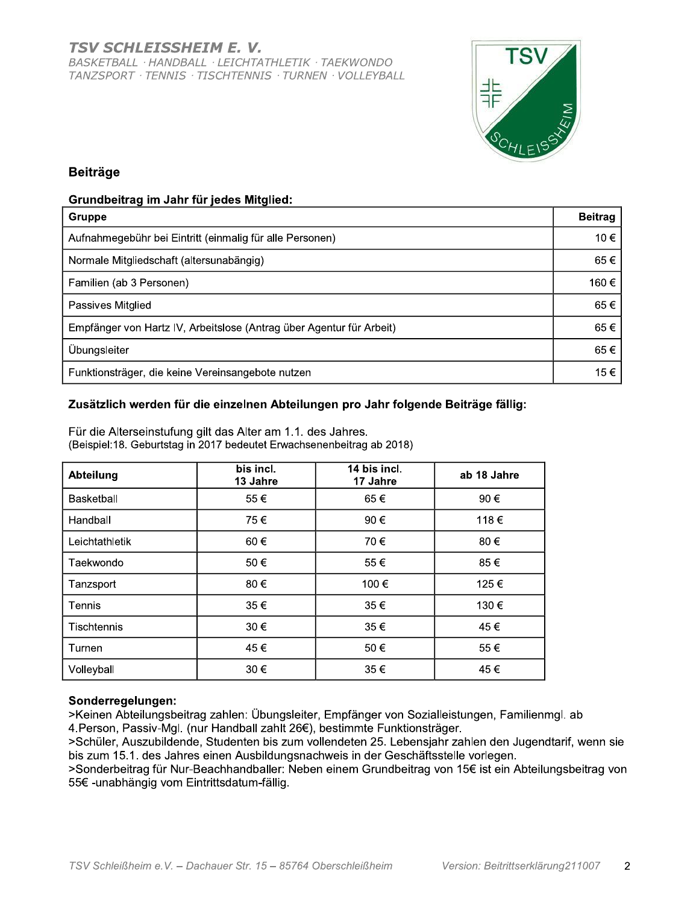

## **Beiträge**

#### Grundbeitrag im Jahr für jedes Mitglied:

| Gruppe                                                               | <b>Beitrag</b> |
|----------------------------------------------------------------------|----------------|
| Aufnahmegebühr bei Eintritt (einmalig für alle Personen)             | 10€            |
| Normale Mitgliedschaft (altersunabängig)                             | 65€            |
| Familien (ab 3 Personen)                                             | 160€           |
| Passives Mitglied                                                    | 65€            |
| Empfänger von Hartz IV, Arbeitslose (Antrag über Agentur für Arbeit) | 65€            |
| Übungsleiter                                                         | 65€            |
| Funktionsträger, die keine Vereinsangebote nutzen                    | 15€            |

#### Zusätzlich werden für die einzelnen Abteilungen pro Jahr folgende Beiträge fällig:

|                | bis incl. | 14 bis incl. |             |
|----------------|-----------|--------------|-------------|
| Abteilung      | 13 Jahre  | 17 Jahre     | ab 18 Jahre |
| Basketball     | 55€       | 65€          | 90€         |
| Handball       | 75€       | 90€          | 118€        |
| Leichtathletik | 60€       | 70€          | 80€         |
| Taekwondo      | 50€       | 55€          | 85€         |
| Tanzsport      | 80€       | 100€         | 125€        |
| Tennis         | 35€       | 35€          | 130€        |
| Tischtennis    | 30€       | 35€          | 45€         |
| Turnen         | 45€       | 50€          | 55€         |
| Volleyball     | 30€       | 35€          | 45€         |

Für die Alterseinstufung gilt das Alter am 1.1. des Jahres. (Beispiel: 18. Geburtstag in 2017 bedeutet Erwachsenenbeitrag ab 2018)

### Sonderregelungen:

>Keinen Abteilungsbeitrag zahlen: Übungsleiter, Empfänger von Sozialleistungen, Familienmgl. ab 4. Person, Passiv-Mgl. (nur Handball zahlt 26€), bestimmte Funktionsträger.

>Schüler, Auszubildende, Studenten bis zum vollendeten 25. Lebensjahr zahlen den Jugendtarif, wenn sie bis zum 15.1. des Jahres einen Ausbildungsnachweis in der Geschäftsstelle vorlegen.

>Sonderbeitrag für Nur-Beachhandballer: Neben einem Grundbeitrag von 15€ ist ein Abteilungsbeitrag von 55€ - unabhängig vom Eintrittsdatum-fällig.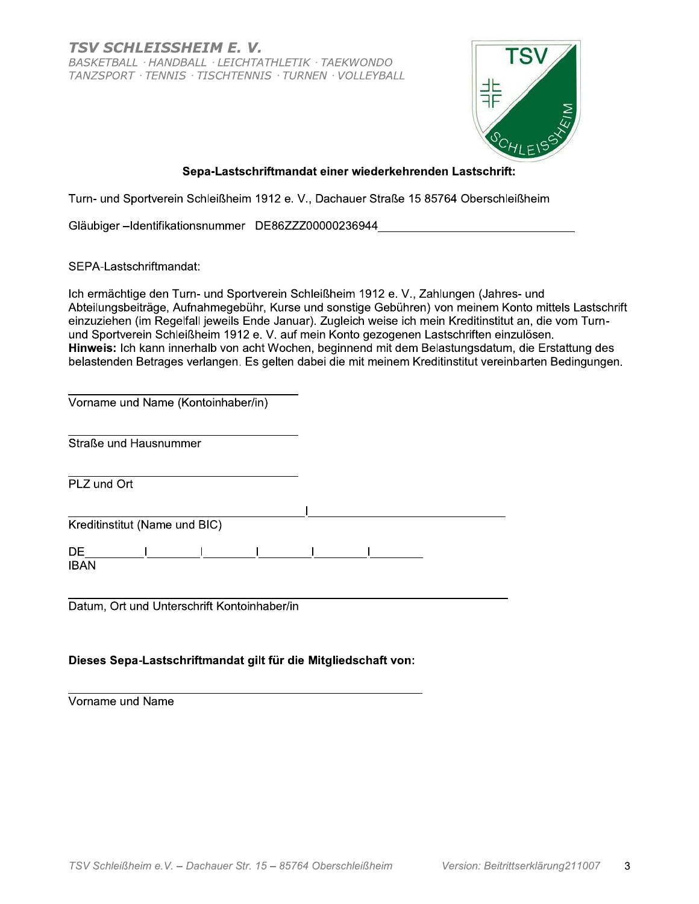TSV SCHLEISSHEIM E. V. BASKETBALL · HANDBALL · LEICHTATHLETIK · TAEKWONDO TANZSPORT · TENNIS · TISCHTENNIS · TURNEN · VOLLEYBALL



#### Sepa-Lastschriftmandat einer wiederkehrenden Lastschrift:

Turn- und Sportverein Schleißheim 1912 e. V., Dachauer Straße 15 85764 Oberschleißheim

Gläubiger-Identifikationsnummer DE86ZZZ00000236944

SEPA-Lastschriftmandat:

Ich ermächtige den Turn- und Sportverein Schleißheim 1912 e. V., Zahlungen (Jahres- und Abteilungsbeiträge, Aufnahmegebühr, Kurse und sonstige Gebühren) von meinem Konto mittels Lastschrift einzuziehen (im Regelfall jeweils Ende Januar). Zugleich weise ich mein Kreditinstitut an, die vom Turnund Sportverein Schleißheim 1912 e. V. auf mein Konto gezogenen Lastschriften einzulösen. Hinweis: Ich kann innerhalb von acht Wochen, beginnend mit dem Belastungsdatum, die Erstattung des belastenden Betrages verlangen. Es gelten dabei die mit meinem Kreditinstitut vereinbarten Bedingungen.

| Vorname und Name (Kontoinhaber/in) |  |  |  |  |
|------------------------------------|--|--|--|--|
| Straße und Hausnummer              |  |  |  |  |
| PLZ und Ort                        |  |  |  |  |
| Kreditinstitut (Name und BIC)      |  |  |  |  |
| DE<br><b>IBAN</b>                  |  |  |  |  |

Datum, Ort und Unterschrift Kontoinhaber/in

#### Dieses Sepa-Lastschriftmandat gilt für die Mitgliedschaft von:

Vorname und Name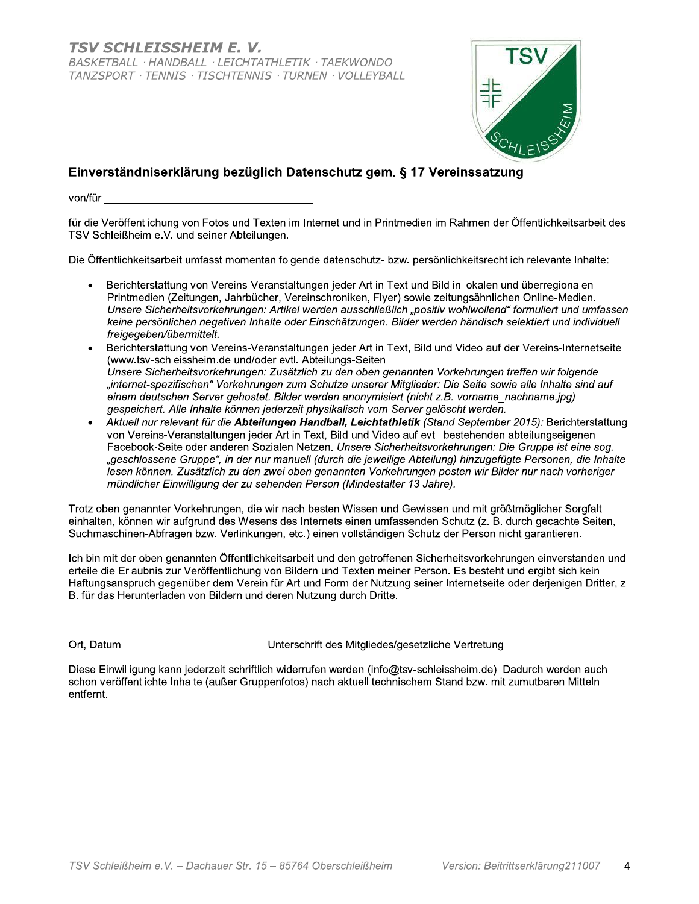

# Einverständniserklärung bezüglich Datenschutz gem. § 17 Vereinssatzung

für die Veröffentlichung von Fotos und Texten im Internet und in Printmedien im Rahmen der Öffentlichkeitsarbeit des TSV Schleißheim e.V. und seiner Abteilungen.

Die Öffentlichkeitsarbeit umfasst momentan folgende datenschutz- bzw. persönlichkeitsrechtlich relevante Inhalte:

- Berichterstattung von Vereins-Veranstaltungen jeder Art in Text und Bild in lokalen und überregionalen Printmedien (Zeitungen, Jahrbücher, Vereinschroniken, Flyer) sowie zeitungsähnlichen Online-Medien. Unsere Sicherheitsvorkehrungen: Artikel werden ausschließlich "positiv wohlwollend" formuliert und umfassen keine persönlichen negativen Inhalte oder Einschätzungen. Bilder werden händisch selektiert und individuell freigegeben/übermittelt.
- Berichterstattung von Vereins-Veranstaltungen jeder Art in Text, Bild und Video auf der Vereins-Internetseite (www.tsv-schleissheim.de und/oder evtl. Abteilungs-Seiten. Unsere Sicherheitsvorkehrungen: Zusätzlich zu den oben genannten Vorkehrungen treffen wir folgende internet-spezifischen" Vorkehrungen zum Schutze unserer Mitglieder: Die Seite sowie alle Inhalte sind auf" einem deutschen Server gehostet. Bilder werden anonymisiert (nicht z.B. vorname nachname.jpg) gespeichert. Alle Inhalte können jederzeit physikalisch vom Server gelöscht werden.
- Aktuell nur relevant für die Abteilungen Handball, Leichtathletik (Stand September 2015): Berichterstattung von Vereins-Veranstaltungen jeder Art in Text, Bild und Video auf evtl. bestehenden abteilungseigenen Facebook-Seite oder anderen Sozialen Netzen. Unsere Sicherheitsvorkehrungen: Die Gruppe ist eine sog. "geschlossene Gruppe", in der nur manuell (durch die jeweilige Abteilung) hinzugefügte Personen, die Inhalte esen können. Zusätzlich zu den zwei oben genannten Vorkehrungen posten wir Bilder nur nach vorheriger mündlicher Einwilligung der zu sehenden Person (Mindestalter 13 Jahre).

Trotz oben genannter Vorkehrungen, die wir nach besten Wissen und Gewissen und mit größtmöglicher Sorgfalt einhalten, können wir aufgrund des Wesens des Internets einen umfassenden Schutz (z. B. durch gecachte Seiten, Suchmaschinen-Abfragen bzw. Verlinkungen, etc.) einen vollständigen Schutz der Person nicht garantieren.

Ich bin mit der oben genannten Öffentlichkeitsarbeit und den getroffenen Sicherheitsvorkehrungen einverstanden und erteile die Erlaubnis zur Veröffentlichung von Bildern und Texten meiner Person. Es besteht und ergibt sich kein Haftungsanspruch gegenüber dem Verein für Art und Form der Nutzung seiner Internetseite oder derjenigen Dritter, z. B. für das Herunterladen von Bildern und deren Nutzung durch Dritte.

#### Ort, Datum

Unterschrift des Mitgliedes/gesetzliche Vertretung

Diese Einwilligung kann jederzeit schriftlich widerrufen werden (info@tsv-schleissheim.de). Dadurch werden auch schon veröffentlichte Inhalte (außer Gruppenfotos) nach aktuell technischem Stand bzw. mit zumutbaren Mitteln entfernt.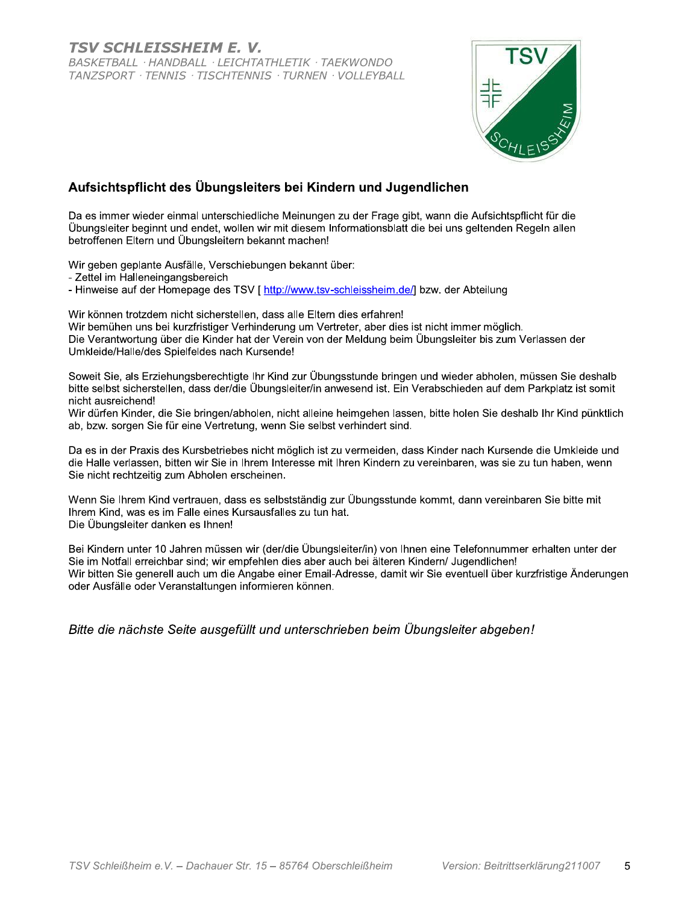

## Aufsichtspflicht des Übungsleiters bei Kindern und Jugendlichen

Da es immer wieder einmal unterschiedliche Meinungen zu der Frage gibt, wann die Aufsichtspflicht für die Übungsleiter beginnt und endet, wollen wir mit diesem Informationsblatt die bei uns geltenden Regeln allen betroffenen Eltern und Übungsleitern bekannt machen!

Wir geben geplante Ausfälle, Verschiebungen bekannt über:

- Zettel im Halleneingangsbereich

- Hinweise auf der Homepage des TSV [ http://www.tsv-schleissheim.de/] bzw. der Abteilung

Wir können trotzdem nicht sicherstellen, dass alle Eltern dies erfahren!

Wir bemühen uns bei kurzfristiger Verhinderung um Vertreter, aber dies ist nicht immer möglich. Die Verantwortung über die Kinder hat der Verein von der Meldung beim Übungsleiter bis zum Verlassen der Umkleide/Halle/des Spielfeldes nach Kursende!

Soweit Sie, als Erziehungsberechtigte Ihr Kind zur Übungsstunde bringen und wieder abholen, müssen Sie deshalb bitte selbst sicherstellen, dass der/die Übungsleiter/in anwesend ist. Ein Verabschieden auf dem Parkplatz ist somit nicht ausreichend!

Wir dürfen Kinder, die Sie bringen/abholen, nicht alleine heimgehen lassen, bitte holen Sie deshalb Ihr Kind pünktlich ab, bzw. sorgen Sie für eine Vertretung, wenn Sie selbst verhindert sind.

Da es in der Praxis des Kursbetriebes nicht möglich ist zu vermeiden, dass Kinder nach Kursende die Umkleide und die Halle verlassen, bitten wir Sie in Ihrem Interesse mit Ihren Kindern zu vereinbaren, was sie zu tun haben, wenn Sie nicht rechtzeitig zum Abholen erscheinen.

Wenn Sie Ihrem Kind vertrauen, dass es selbstständig zur Übungsstunde kommt, dann vereinbaren Sie bitte mit Ihrem Kind, was es im Falle eines Kursausfalles zu tun hat. Die Übungsleiter danken es Ihnen!

Bei Kindern unter 10 Jahren müssen wir (der/die Übungsleiter/in) von Ihnen eine Telefonnummer erhalten unter der Sie im Notfall erreichbar sind; wir empfehlen dies aber auch bei älteren Kindern/ Jugendlichen! Wir bitten Sie generell auch um die Angabe einer Email-Adresse, damit wir Sie eventuell über kurzfristige Änderungen oder Ausfälle oder Veranstaltungen informieren können.

Bitte die nächste Seite ausgefüllt und unterschrieben beim Übungsleiter abgeben!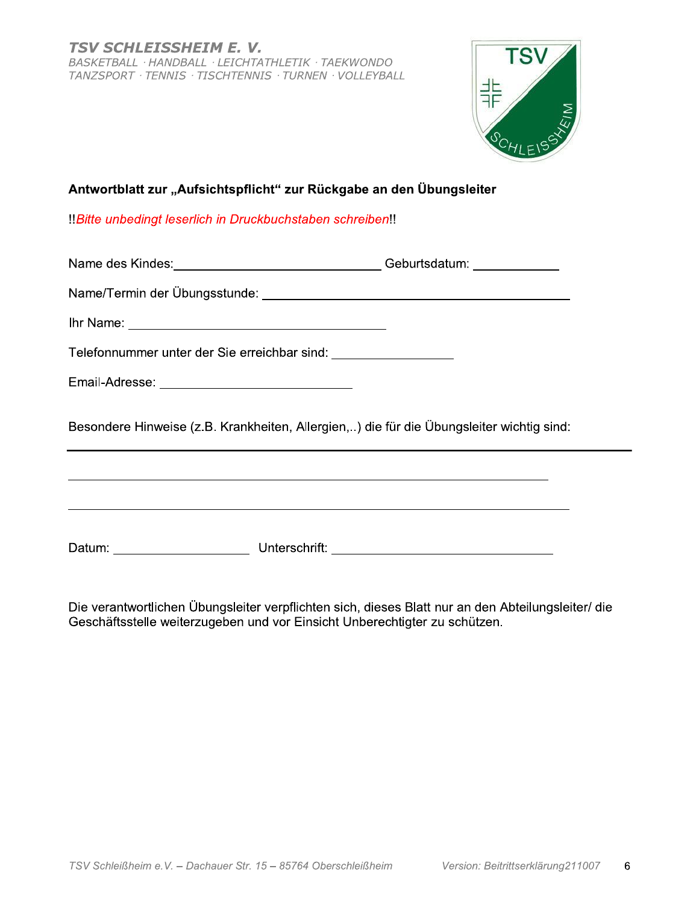

#### $\mathbf{r}$ Antwortblatt zur "Aufsichtspflicht" zur Ruckgabe an den Ubungsleiter

|                                                                  | Antwortblatt zur "Aufsichtspflicht" zur Rückgabe an den Übungsleiter                     |
|------------------------------------------------------------------|------------------------------------------------------------------------------------------|
| !Bitte unbedingt leserlich in Druckbuchstaben schreiben!!        |                                                                                          |
|                                                                  | Name des Kindes: __________________________________Geburtsdatum: _______________         |
|                                                                  |                                                                                          |
|                                                                  |                                                                                          |
| Telefonnummer unter der Sie erreichbar sind: ___________________ |                                                                                          |
|                                                                  |                                                                                          |
|                                                                  | Besondere Hinweise (z.B. Krankheiten, Allergien,) die für die Übungsleiter wichtig sind: |
|                                                                  |                                                                                          |

Die verantwortlichen Übungsleiter verpflichten sich, dieses Blatt nur an den Abteilungsleiter/ die Geschäftsstelle weiterzugeben und vor Einsicht Unberechtigter zu schützen.